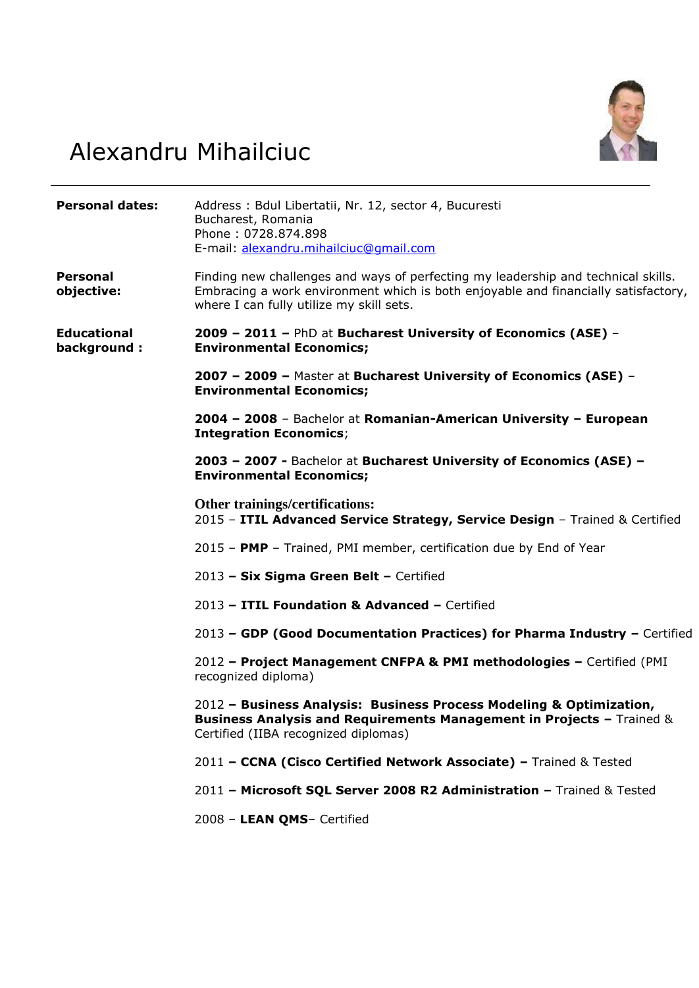

# Alexandru Mihailciuc

| <b>Personal dates:</b>            | Address: Bdul Libertatii, Nr. 12, sector 4, Bucuresti<br>Bucharest, Romania<br>Phone: 0728.874.898<br>E-mail: alexandru.mihailciuc@qmail.com                                                                        |
|-----------------------------------|---------------------------------------------------------------------------------------------------------------------------------------------------------------------------------------------------------------------|
| <b>Personal</b><br>objective:     | Finding new challenges and ways of perfecting my leadership and technical skills.<br>Embracing a work environment which is both enjoyable and financially satisfactory,<br>where I can fully utilize my skill sets. |
| <b>Educational</b><br>background: | 2009 - 2011 - PhD at Bucharest University of Economics (ASE) -<br><b>Environmental Economics;</b>                                                                                                                   |
|                                   | 2007 - 2009 - Master at Bucharest University of Economics (ASE) -<br><b>Environmental Economics;</b>                                                                                                                |
|                                   | 2004 - 2008 - Bachelor at Romanian-American University - European<br><b>Integration Economics;</b>                                                                                                                  |
|                                   | 2003 - 2007 - Bachelor at Bucharest University of Economics (ASE) -<br><b>Environmental Economics;</b>                                                                                                              |
|                                   | Other trainings/certifications:<br>2015 - ITIL Advanced Service Strategy, Service Design - Trained & Certified                                                                                                      |
|                                   | 2015 - PMP - Trained, PMI member, certification due by End of Year                                                                                                                                                  |
|                                   | 2013 - Six Sigma Green Belt - Certified                                                                                                                                                                             |
|                                   | 2013 - ITIL Foundation & Advanced - Certified                                                                                                                                                                       |
|                                   | 2013 - GDP (Good Documentation Practices) for Pharma Industry - Certified                                                                                                                                           |
|                                   | 2012 - Project Management CNFPA & PMI methodologies - Certified (PMI<br>recognized diploma)                                                                                                                         |
|                                   | 2012 - Business Analysis: Business Process Modeling & Optimization,<br>Business Analysis and Requirements Management in Projects - Trained &<br>Certified (IIBA recognized diplomas)                                |
|                                   | 2011 - CCNA (Cisco Certified Network Associate) - Trained & Tested                                                                                                                                                  |
|                                   | 2011 - Microsoft SQL Server 2008 R2 Administration - Trained & Tested                                                                                                                                               |
|                                   | 2008 - LEAN QMS- Certified                                                                                                                                                                                          |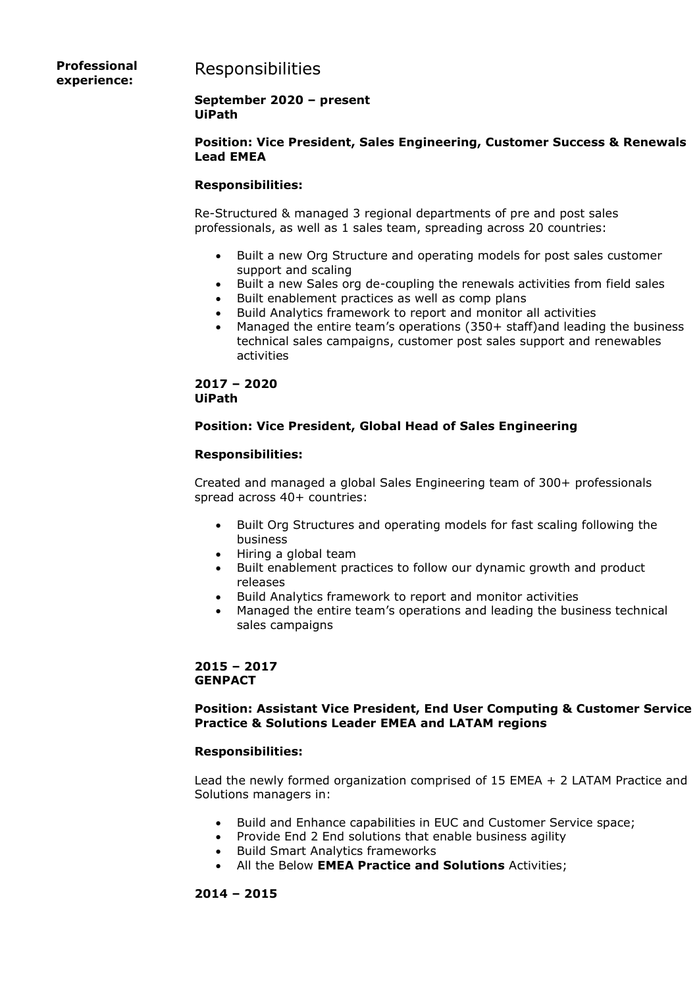# Responsibilities

**Professional experience:**

#### **September 2020 – present UiPath**

#### **Position: Vice President, Sales Engineering, Customer Success & Renewals Lead EMEA**

#### **Responsibilities:**

Re-Structured & managed 3 regional departments of pre and post sales professionals, as well as 1 sales team, spreading across 20 countries:

- Built a new Org Structure and operating models for post sales customer support and scaling
- Built a new Sales org de-coupling the renewals activities from field sales
- Built enablement practices as well as comp plans
- Build Analytics framework to report and monitor all activities
- Managed the entire team's operations (350+ staff)and leading the business technical sales campaigns, customer post sales support and renewables activities

#### **2017 – 2020 UiPath**

# **Position: Vice President, Global Head of Sales Engineering**

#### **Responsibilities:**

Created and managed a global Sales Engineering team of 300+ professionals spread across 40+ countries:

- Built Org Structures and operating models for fast scaling following the business
- Hiring a global team
- Built enablement practices to follow our dynamic growth and product releases
- Build Analytics framework to report and monitor activities
- Managed the entire team's operations and leading the business technical sales campaigns

# **2015 – 2017 GENPACT**

#### **Position: Assistant Vice President, End User Computing & Customer Service Practice & Solutions Leader EMEA and LATAM regions**

#### **Responsibilities:**

Lead the newly formed organization comprised of 15 EMEA + 2 LATAM Practice and Solutions managers in:

- Build and Enhance capabilities in EUC and Customer Service space;
- Provide End 2 End solutions that enable business agility
- Build Smart Analytics frameworks
- All the Below **EMEA Practice and Solutions** Activities;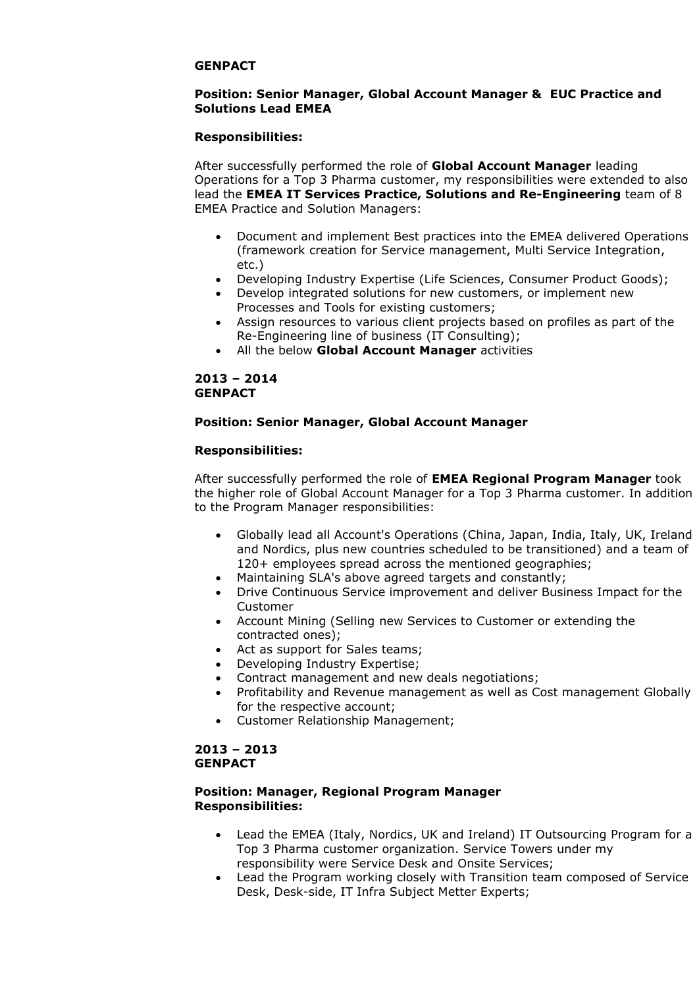#### **GENPACT**

#### **Position: Senior Manager, Global Account Manager & EUC Practice and Solutions Lead EMEA**

#### **Responsibilities:**

After successfully performed the role of **Global Account Manager** leading Operations for a Top 3 Pharma customer, my responsibilities were extended to also lead the **EMEA IT Services Practice, Solutions and Re-Engineering** team of 8 EMEA Practice and Solution Managers:

- Document and implement Best practices into the EMEA delivered Operations (framework creation for Service management, Multi Service Integration, etc.)
- Developing Industry Expertise (Life Sciences, Consumer Product Goods);
- Develop integrated solutions for new customers, or implement new Processes and Tools for existing customers;
- Assign resources to various client projects based on profiles as part of the Re-Engineering line of business (IT Consulting);
- All the below **Global Account Manager** activities

#### **2013 – 2014 GENPACT**

#### **Position: Senior Manager, Global Account Manager**

#### **Responsibilities:**

After successfully performed the role of **EMEA Regional Program Manager** took the higher role of Global Account Manager for a Top 3 Pharma customer. In addition to the Program Manager responsibilities:

- Globally lead all Account's Operations (China, Japan, India, Italy, UK, Ireland and Nordics, plus new countries scheduled to be transitioned) and a team of 120+ employees spread across the mentioned geographies;
- Maintaining SLA's above agreed targets and constantly;
- Drive Continuous Service improvement and deliver Business Impact for the Customer
- Account Mining (Selling new Services to Customer or extending the contracted ones);
- Act as support for Sales teams;
- Developing Industry Expertise;
- Contract management and new deals negotiations;
- Profitability and Revenue management as well as Cost management Globally for the respective account;
- Customer Relationship Management;

# **2013 – 2013 GENPACT**

#### **Position: Manager, Regional Program Manager Responsibilities:**

- Lead the EMEA (Italy, Nordics, UK and Ireland) IT Outsourcing Program for a Top 3 Pharma customer organization. Service Towers under my responsibility were Service Desk and Onsite Services;
- Lead the Program working closely with Transition team composed of Service Desk, Desk-side, IT Infra Subject Metter Experts;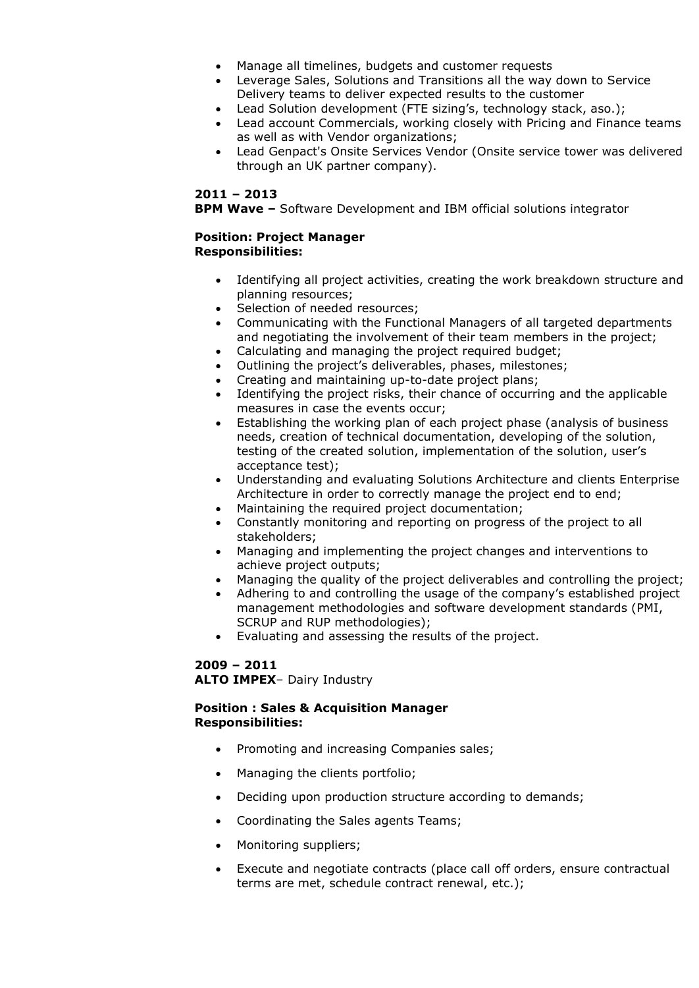- Manage all timelines, budgets and customer requests
- Leverage Sales, Solutions and Transitions all the way down to Service Delivery teams to deliver expected results to the customer
- Lead Solution development (FTE sizing's, technology stack, aso.);
- Lead account Commercials, working closely with Pricing and Finance teams as well as with Vendor organizations;
- Lead Genpact's Onsite Services Vendor (Onsite service tower was delivered through an UK partner company).

#### **2011 – 2013**

**BPM Wave –** Software Development and IBM official solutions integrator

#### **Position: Project Manager Responsibilities:**

- Identifying all project activities, creating the work breakdown structure and planning resources;
- Selection of needed resources;
- Communicating with the Functional Managers of all targeted departments and negotiating the involvement of their team members in the project;
- Calculating and managing the project required budget;
- Outlining the project's deliverables, phases, milestones;
- Creating and maintaining up-to-date project plans;
- Identifying the project risks, their chance of occurring and the applicable measures in case the events occur;
- Establishing the working plan of each project phase (analysis of business needs, creation of technical documentation, developing of the solution, testing of the created solution, implementation of the solution, user's acceptance test);
- Understanding and evaluating Solutions Architecture and clients Enterprise Architecture in order to correctly manage the project end to end;
- Maintaining the required project documentation;
- Constantly monitoring and reporting on progress of the project to all stakeholders;
- Managing and implementing the project changes and interventions to achieve project outputs;
- Managing the quality of the project deliverables and controlling the project;
- Adhering to and controlling the usage of the company's established project management methodologies and software development standards (PMI, SCRUP and RUP methodologies);
- Evaluating and assessing the results of the project.

#### **2009 – 2011 ALTO IMPEX**– Dairy Industry

#### **Position : Sales & Acquisition Manager Responsibilities:**

- Promoting and increasing Companies sales;
- Managing the clients portfolio;
- Deciding upon production structure according to demands;
- Coordinating the Sales agents Teams;
- Monitoring suppliers;
- Execute and negotiate contracts (place call off orders, ensure contractual terms are met, schedule contract renewal, etc.);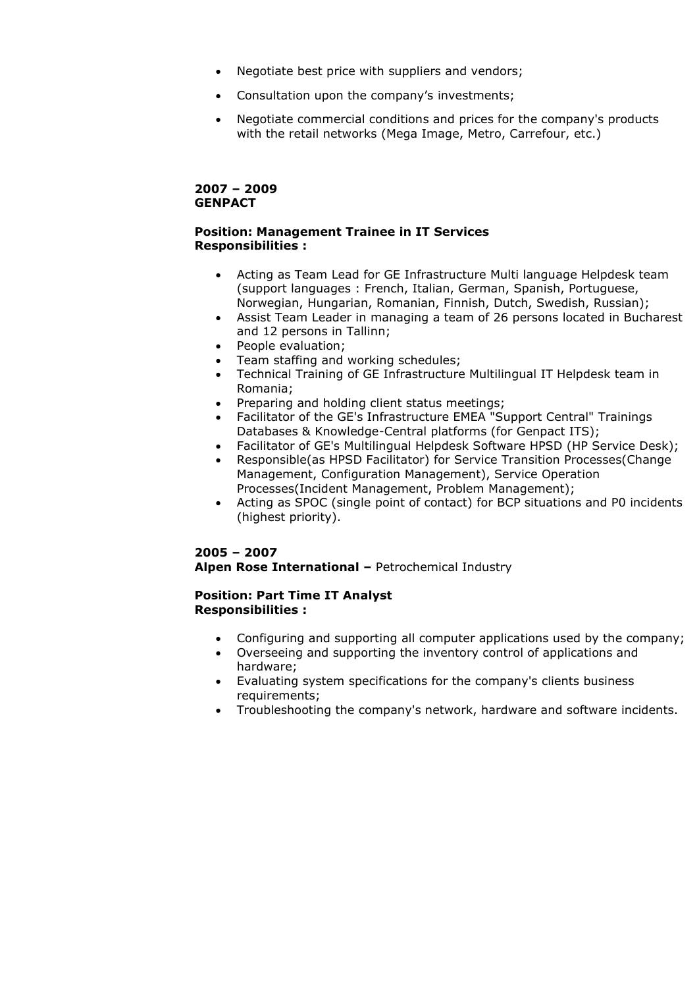- Negotiate best price with suppliers and vendors;
- Consultation upon the company's investments;
- Negotiate commercial conditions and prices for the company's products with the retail networks (Mega Image, Metro, Carrefour, etc.)

# **2007 – 2009 GENPACT**

#### **Position: Management Trainee in IT Services Responsibilities :**

- Acting as Team Lead for GE Infrastructure Multi language Helpdesk team (support languages : French, Italian, German, Spanish, Portuguese, Norwegian, Hungarian, Romanian, Finnish, Dutch, Swedish, Russian);
- Assist Team Leader in managing a team of 26 persons located in Bucharest and 12 persons in Tallinn;
- People evaluation;
- Team staffing and working schedules;
- Technical Training of GE Infrastructure Multilingual IT Helpdesk team in Romania;
- Preparing and holding client status meetings;
- Facilitator of the GE's Infrastructure EMEA "Support Central" Trainings Databases & Knowledge-Central platforms (for Genpact ITS);
- Facilitator of GE's Multilingual Helpdesk Software HPSD (HP Service Desk);
- Responsible(as HPSD Facilitator) for Service Transition Processes(Change Management, Configuration Management), Service Operation Processes(Incident Management, Problem Management);
- Acting as SPOC (single point of contact) for BCP situations and P0 incidents (highest priority).

# **2005 – 2007 Alpen Rose International –** Petrochemical Industry

#### **Position: Part Time IT Analyst Responsibilities :**

- Configuring and supporting all computer applications used by the company;
- Overseeing and supporting the inventory control of applications and hardware;
- Evaluating system specifications for the company's clients business requirements;
- Troubleshooting the company's network, hardware and software incidents.